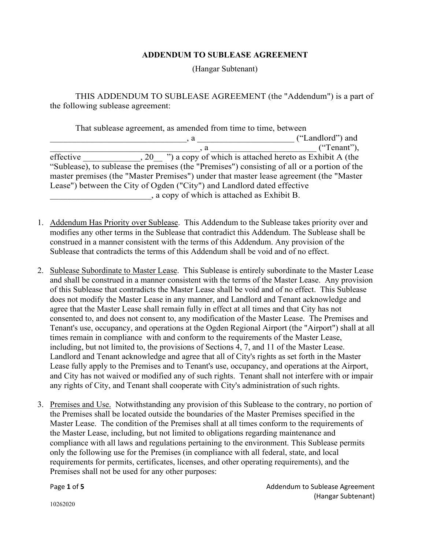## **ADDENDUM TO SUBLEASE AGREEMENT**

(Hangar Subtenant)

THIS ADDENDUM TO SUBLEASE AGREEMENT (the "Addendum") is a part of the following sublease agreement:

| That sublease agreement, as amended from time to time, between                              |  |                                                              |  |
|---------------------------------------------------------------------------------------------|--|--------------------------------------------------------------|--|
|                                                                                             |  | ("Landlord") and                                             |  |
|                                                                                             |  | ("Tenant"),                                                  |  |
| effective                                                                                   |  | , 20 ") a copy of which is attached hereto as Exhibit A (the |  |
| "Sublease), to sublease the premises (the "Premises") consisting of all or a portion of the |  |                                                              |  |
| master premises (the "Master Premises") under that master lease agreement (the "Master      |  |                                                              |  |
| Lease") between the City of Ogden ("City") and Landlord dated effective                     |  |                                                              |  |
| , a copy of which is attached as Exhibit B.                                                 |  |                                                              |  |

- 1. Addendum Has Priority over Sublease. This Addendum to the Sublease takes priority over and modifies any other terms in the Sublease that contradict this Addendum. The Sublease shall be construed in a manner consistent with the terms of this Addendum. Any provision of the Sublease that contradicts the terms of this Addendum shall be void and of no effect.
- 2. Sublease Subordinate to Master Lease. This Sublease is entirely subordinate to the Master Lease and shall be construed in a manner consistent with the terms of the Master Lease. Any provision of this Sublease that contradicts the Master Lease shall be void and of no effect. This Sublease does not modify the Master Lease in any manner, and Landlord and Tenant acknowledge and agree that the Master Lease shall remain fully in effect at all times and that City has not consented to, and does not consent to, any modification of the Master Lease. The Premises and Tenant's use, occupancy, and operations at the Ogden Regional Airport (the "Airport") shall at all times remain in compliance with and conform to the requirements of the Master Lease, including, but not limited to, the provisions of Sections 4, 7, and 11 of the Master Lease. Landlord and Tenant acknowledge and agree that all of City's rights as set forth in the Master Lease fully apply to the Premises and to Tenant's use, occupancy, and operations at the Airport, and City has not waived or modified any of such rights. Tenant shall not interfere with or impair any rights of City, and Tenant shall cooperate with City's administration of such rights.
- 3. Premises and Use. Notwithstanding any provision of this Sublease to the contrary, no portion of the Premises shall be located outside the boundaries of the Master Premises specified in the Master Lease. The condition of the Premises shall at all times conform to the requirements of the Master Lease, including, but not limited to obligations regarding maintenance and compliance with all laws and regulations pertaining to the environment. This Sublease permits only the following use for the Premises (in compliance with all federal, state, and local requirements for permits, certificates, licenses, and other operating requirements), and the Premises shall not be used for any other purposes:

Page 1 of 5 **Page 1** of 5 (Hangar Subtenant)

10262020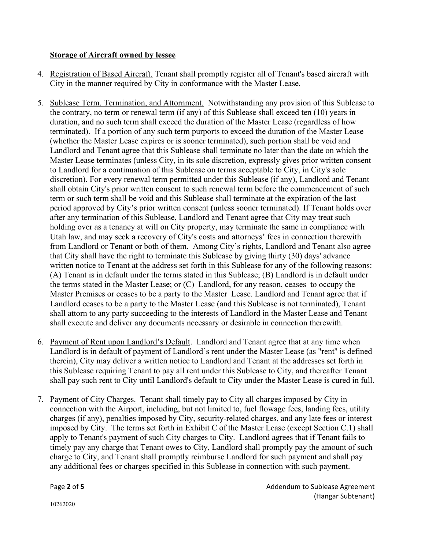## **Storage of Aircraft owned by lessee**

- 4. Registration of Based Aircraft. Tenant shall promptly register all of Tenant's based aircraft with City in the manner required by City in conformance with the Master Lease.
- 5. Sublease Term. Termination, and Attornment. Notwithstanding any provision of this Sublease to the contrary, no term or renewal term (if any) of this Sublease shall exceed ten (10) years in duration, and no such term shall exceed the duration of the Master Lease (regardless of how terminated). If a portion of any such term purports to exceed the duration of the Master Lease (whether the Master Lease expires or is sooner terminated), such portion shall be void and Landlord and Tenant agree that this Sublease shall terminate no later than the date on which the Master Lease terminates (unless City, in its sole discretion, expressly gives prior written consent to Landlord for a continuation of this Sublease on terms acceptable to City, in City's sole discretion). For every renewal term permitted under this Sublease (if any), Landlord and Tenant shall obtain City's prior written consent to such renewal term before the commencement of such term or such term shall be void and this Sublease shall terminate at the expiration of the last period approved by City's prior written consent (unless sooner terminated). If Tenant holds over after any termination of this Sublease, Landlord and Tenant agree that City may treat such holding over as a tenancy at will on City property, may terminate the same in compliance with Utah law, and may seek a recovery of City's costs and attorneys' fees in connection therewith from Landlord or Tenant or both of them. Among City's rights, Landlord and Tenant also agree that City shall have the right to terminate this Sublease by giving thirty (30) days' advance written notice to Tenant at the address set forth in this Sublease for any of the following reasons: (A) Tenant is in default under the terms stated in this Sublease; (B) Landlord is in default under the terms stated in the Master Lease; or (C) Landlord, for any reason, ceases to occupy the Master Premises or ceases to be a party to the Master Lease. Landlord and Tenant agree that if Landlord ceases to be a party to the Master Lease (and this Sublease is not terminated), Tenant shall attorn to any party succeeding to the interests of Landlord in the Master Lease and Tenant shall execute and deliver any documents necessary or desirable in connection therewith.
- 6. Payment of Rent upon Landlord's Default. Landlord and Tenant agree that at any time when Landlord is in default of payment of Landlord's rent under the Master Lease (as "rent'' is defined therein), City may deliver a written notice to Landlord and Tenant at the addresses set forth in this Sublease requiring Tenant to pay all rent under this Sublease to City, and thereafter Tenant shall pay such rent to City until Landlord's default to City under the Master Lease is cured in full.
- 7. Payment of City Charges. Tenant shall timely pay to City all charges imposed by City in connection with the Airport, including, but not limited to, fuel flowage fees, landing fees, utility charges (if any), penalties imposed by City, security-related charges, and any late fees or interest imposed by City. The terms set forth in Exhibit C of the Master Lease (except Section C.1) shall apply to Tenant's payment of such City charges to City. Landlord agrees that if Tenant fails to timely pay any charge that Tenant owes to City, Landlord shall promptly pay the amount of such charge to City, and Tenant shall promptly reimburse Landlord for such payment and shall pay any additional fees or charges specified in this Sublease in connection with such payment.

Page 2 of 5 **Addendum** to Sublease Agreement (Hangar Subtenant)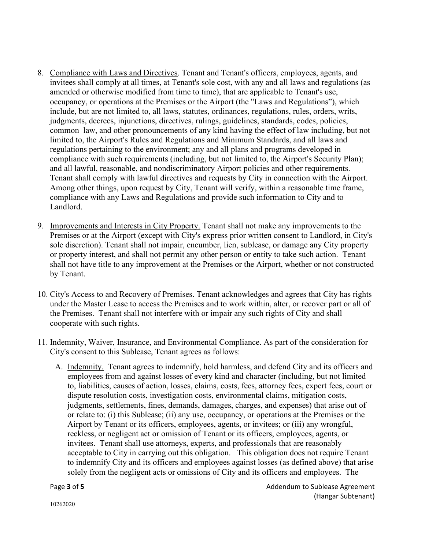- 8. Compliance with Laws and Directives. Tenant and Tenant's officers, employees, agents, and invitees shall comply at all times, at Tenant's sole cost, with any and all laws and regulations (as amended or otherwise modified from time to time), that are applicable to Tenant's use, occupancy, or operations at the Premises or the Airport (the "Laws and Regulations"), which include, but are not limited to, all laws, statutes, ordinances, regulations, rules, orders, writs, judgments, decrees, injunctions, directives, rulings, guidelines, standards, codes, policies, common law, and other pronouncements of any kind having the effect of law including, but not limited to, the Airport's Rules and Regulations and Minimum Standards, and all laws and regulations pertaining to the environment; any and all plans and programs developed in compliance with such requirements (including, but not limited to, the Airport's Security Plan); and all lawful, reasonable, and nondiscriminatory Airport policies and other requirements. Tenant shall comply with lawful directives and requests by City in connection with the Airport. Among other things, upon request by City, Tenant will verify, within a reasonable time frame, compliance with any Laws and Regulations and provide such information to City and to Landlord.
- 9. Improvements and Interests in City Property. Tenant shall not make any improvements to the Premises or at the Airport (except with City's express prior written consent to Landlord, in City's sole discretion). Tenant shall not impair, encumber, lien, sublease, or damage any City property or property interest, and shall not permit any other person or entity to take such action. Tenant shall not have title to any improvement at the Premises or the Airport, whether or not constructed by Tenant.
- 10. City's Access to and Recovery of Premises. Tenant acknowledges and agrees that City has rights under the Master Lease to access the Premises and to work within, alter, or recover part or all of the Premises. Tenant shall not interfere with or impair any such rights of City and shall cooperate with such rights.
- 11. Indemnity, Waiver, Insurance, and Environmental Compliance. As part of the consideration for City's consent to this Sublease, Tenant agrees as follows:
	- A. Indemnity. Tenant agrees to indemnify, hold harmless, and defend City and its officers and employees from and against losses of every kind and character (including, but not limited to, liabilities, causes of action, losses, claims, costs, fees, attorney fees, expert fees, court or dispute resolution costs, investigation costs, environmental claims, mitigation costs, judgments, settlements, fines, demands, damages, charges, and expenses) that arise out of or relate to: (i) this Sublease; (ii) any use, occupancy, or operations at the Premises or the Airport by Tenant or its officers, employees, agents, or invitees; or (iii) any wrongful, reckless, or negligent act or omission of Tenant or its officers, employees, agents, or invitees. Tenant shall use attorneys, experts, and professionals that are reasonably acceptable to City in carrying out this obligation. This obligation does not require Tenant to indemnify City and its officers and employees against losses (as defined above) that arise solely from the negligent acts or omissions of City and its officers and employees. The

Page **3** of **5** Addendum to Sublease Agreement (Hangar Subtenant)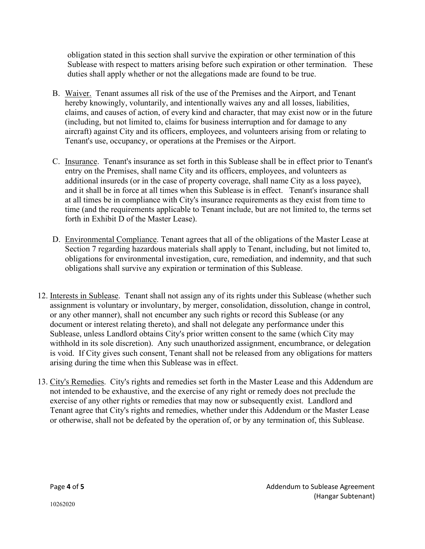obligation stated in this section shall survive the expiration or other termination of this Sublease with respect to matters arising before such expiration or other termination. These duties shall apply whether or not the allegations made are found to be true.

- B. Waiver. Tenant assumes all risk of the use of the Premises and the Airport, and Tenant hereby knowingly, voluntarily, and intentionally waives any and all losses, liabilities, claims, and causes of action, of every kind and character, that may exist now or in the future (including, but not limited to, claims for business interruption and for damage to any aircraft) against City and its officers, employees, and volunteers arising from or relating to Tenant's use, occupancy, or operations at the Premises or the Airport.
- C. Insurance. Tenant's insurance as set forth in this Sublease shall be in effect prior to Tenant's entry on the Premises, shall name City and its officers, employees, and volunteers as additional insureds (or in the case of property coverage, shall name City as a loss payee), and it shall be in force at all times when this Sublease is in effect. Tenant's insurance shall at all times be in compliance with City's insurance requirements as they exist from time to time (and the requirements applicable to Tenant include, but are not limited to, the terms set forth in Exhibit D of the Master Lease).
- D. Environmental Compliance. Tenant agrees that all of the obligations of the Master Lease at Section 7 regarding hazardous materials shall apply to Tenant, including, but not limited to, obligations for environmental investigation, cure, remediation, and indemnity, and that such obligations shall survive any expiration or termination of this Sublease.
- 12. Interests in Sublease. Tenant shall not assign any of its rights under this Sublease (whether such assignment is voluntary or involuntary, by merger, consolidation, dissolution, change in control, or any other manner), shall not encumber any such rights or record this Sublease (or any document or interest relating thereto), and shall not delegate any performance under this Sublease, unless Landlord obtains City's prior written consent to the same (which City may withhold in its sole discretion). Any such unauthorized assignment, encumbrance, or delegation is void. If City gives such consent, Tenant shall not be released from any obligations for matters arising during the time when this Sublease was in effect.
- 13. City's Remedies. City's rights and remedies set forth in the Master Lease and this Addendum are not intended to be exhaustive, and the exercise of any right or remedy does not preclude the exercise of any other rights or remedies that may now or subsequently exist. Landlord and Tenant agree that City's rights and remedies, whether under this Addendum or the Master Lease or otherwise, shall not be defeated by the operation of, or by any termination of, this Sublease.